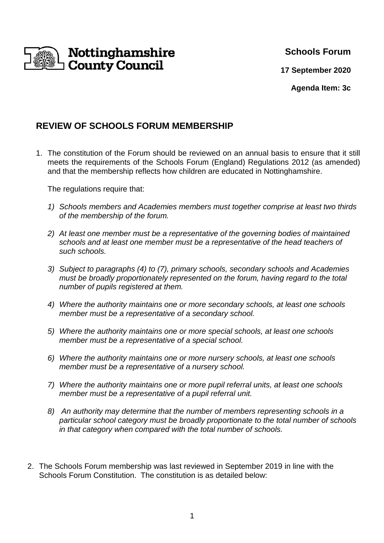

# **Schools Forum**

**17 September 2020**

**Agenda Item: 3c** 

# **REVIEW OF SCHOOLS FORUM MEMBERSHIP**

1. The constitution of the Forum should be reviewed on an annual basis to ensure that it still meets the requirements of the Schools Forum (England) Regulations 2012 (as amended) and that the membership reflects how children are educated in Nottinghamshire.

The regulations require that:

- 1) Schools members and Academies members must together comprise at least two thirds of the membership of the forum.
- 2) At least one member must be a representative of the governing bodies of maintained schools and at least one member must be a representative of the head teachers of such schools.
- 3) Subject to paragraphs (4) to (7), primary schools, secondary schools and Academies must be broadly proportionately represented on the forum, having regard to the total number of pupils registered at them.
- 4) Where the authority maintains one or more secondary schools, at least one schools member must be a representative of a secondary school.
- 5) Where the authority maintains one or more special schools, at least one schools member must be a representative of a special school.
- 6) Where the authority maintains one or more nursery schools, at least one schools member must be a representative of a nursery school.
- 7) Where the authority maintains one or more pupil referral units, at least one schools member must be a representative of a pupil referral unit.
- 8) An authority may determine that the number of members representing schools in a particular school category must be broadly proportionate to the total number of schools in that category when compared with the total number of schools.
- 2. The Schools Forum membership was last reviewed in September 2019 in line with the Schools Forum Constitution. The constitution is as detailed below: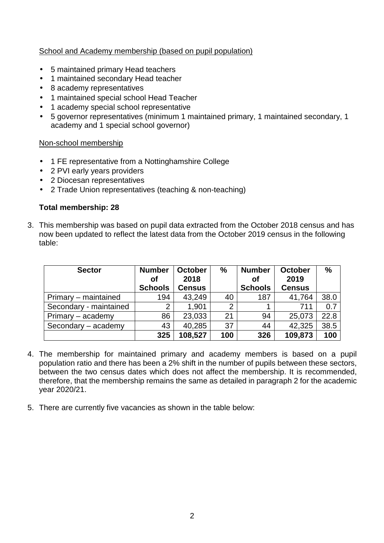## School and Academy membership (based on pupil population)

- 5 maintained primary Head teachers
- 1 maintained secondary Head teacher
- 8 academy representatives
- 1 maintained special school Head Teacher
- 1 academy special school representative
- 5 governor representatives (minimum 1 maintained primary, 1 maintained secondary, 1 academy and 1 special school governor)

#### Non-school membership

- 1 FE representative from a Nottinghamshire College
- 2 PVI early years providers
- 2 Diocesan representatives
- 2 Trade Union representatives (teaching & non-teaching)

#### **Total membership: 28**

3. This membership was based on pupil data extracted from the October 2018 census and has now been updated to reflect the latest data from the October 2019 census in the following table:

| <b>Sector</b>          | <b>Number</b><br>Οf | <b>October</b><br>2018 | $\frac{9}{6}$  | <b>Number</b><br>Οf | <b>October</b><br>2019 | $\%$ |
|------------------------|---------------------|------------------------|----------------|---------------------|------------------------|------|
|                        | <b>Schools</b>      | <b>Census</b>          |                | <b>Schools</b>      | <b>Census</b>          |      |
| Primary – maintained   | 194                 | 43,249                 | 40             | 187                 | 41,764                 | 38.0 |
| Secondary - maintained | $\overline{2}$      | 1.901                  | $\overline{2}$ |                     | 711                    | 0.7  |
| Primary – academy      | 86                  | 23,033                 | 21             | 94                  | 25,073                 | 22.8 |
| Secondary - academy    | 43                  | 40,285                 | 37             | 44                  | 42,325                 | 38.5 |
|                        | 325                 | 108,527                | 100            | 326                 | 109,873                | 100  |

- 4. The membership for maintained primary and academy members is based on a pupil population ratio and there has been a 2% shift in the number of pupils between these sectors, between the two census dates which does not affect the membership. It is recommended, therefore, that the membership remains the same as detailed in paragraph 2 for the academic year 2020/21.
- 5. There are currently five vacancies as shown in the table below: